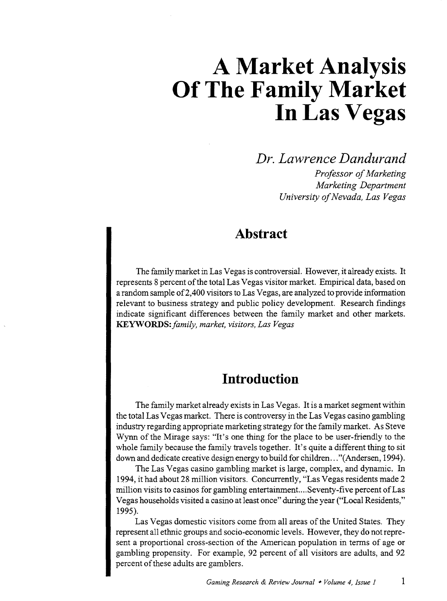*Dr. Lawrence Dandurand* 

*Professor of Marketing Marketing Department University of Nevada, Las Vegas* 

# **Abstract**

The family market in Las Vegas is controversial. However, it already exists. It represents 8 percent of the total Las Vegas visitor market. Empirical data, based on a random sample of2,400 visitors to Las Vegas, are analyzed to provide information relevant to business strategy and public policy development. Research findings indicate significant differences between the family market and other markets. **KEYWORDS:** *family, market, visitors, Las Vegas* 

## **Introduction**

The family market already exists in Las Vegas. It is a market segment within the total Las Vegas market. There is controversy in the Las Vegas casino gambling industry regarding appropriate marketing strategy for the family market. As Steve Wynn of the Mirage says: "It's one thing for the place to be user-friendly to the whole family because the family travels together. It's quite a different thing to sit down and dedicate creative design energy to build for children ... "(Andersen, 1994).

The Las Vegas casino gambling market is large, complex, and dynamic. In 1994, it had about 28 million visitors. Concurrently, "Las Vegas residents made 2 million visits to casinos for gambling entertainment....Seventy-five percent ofLas Vegas households visited a casino at least once" during the year ("Local Residents," 1995).

Las Vegas domestic visitors come from all areas of the United States. They represent all ethnic groups and socio-economic levels. However, they do not represent a proportional cross-section of the American population in terms of age or gambling propensity. For example, 92 percent of all visitors are adults, and 92 percent of these adults are gamblers.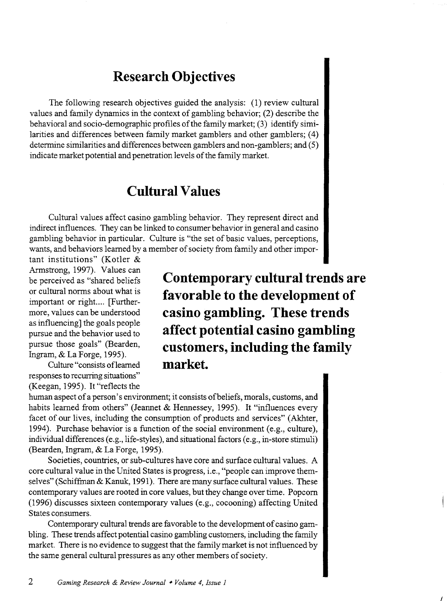# **Research Objectives**

The following research objectives guided the analysis: (1) review cultural values and family dynamics in the context of gambling behavior; (2) describe the behavioral and socio-demographic profiles of the family market; (3) identify similarities and differences between family market gamblers and other gamblers; ( 4) determine similarities and differences between gamblers and non-gamblers; and (5) indicate market potential and penetration levels of the family market.

# **Cultural Values**

Cultural values affect casino gambling behavior. They represent direct and indirect influences. They can be linked to consumer behavior in general and casino gambling behavior in particular. Culture is "the set of basic values, perceptions, wants, and behaviors learned by a member of society from family and other impor-

tant institutions" (Kotler & Armstrong, 1997). Values can be perceived as "shared beliefs or cultural norms about what is important or right.... [Furthermore, values can be understood as influencing] the goals people pursue and the behavior used to pursue those goals" (Bearden, Ingram, & La Forge, 1995).

Culture "consists ofleamed responses to recurring situations" (Keegan, 1995). It "reflects the

**Contemporary cultural trends are favorable to the development of casino gambling. These trends affect potential casino gambling customers, including the family market.** 

 $\prime$ 

human aspect of a person's environment; it consists of beliefs, morals, customs, and habits learned from others" (Jeannet & Hennessey, 1995). It "influences every facet of our lives, including the consumption of products and services" (Akhter, 1994). Purchase behavior is a function of the social environment (e.g., culture), individual differences (e.g., life-styles), and situational factors (e.g., in-store stimuli) (Bearden, Ingram, & La Forge, 1995).

Societies, countries, or sub-cultures have core and surface cultural values. A core cultural value in the United States is progress, i.e., "people can improve themselves" (Schiffman & Kanuk, 1991). There are many surface cultural values. These contemporary values are rooted in core values, but they change over time. Popcorn (1996) discusses sixteen contemporary values (e.g., cocooning) affecting United States consumers.

Contemporary cultural trends are favorable to the development of casino gambling. These trends affect potential casino gambling customers, including the family market. There is no evidence to suggest that the family market is not influenced by the same general cultural pressures as any other members of society.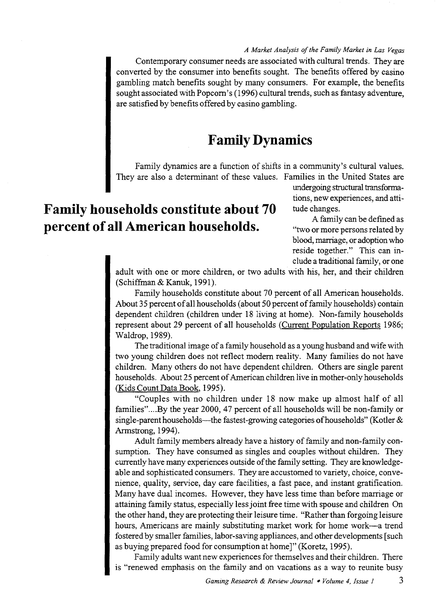*A Market Analysis of the Family Market in Las Vegas*  Contemporary consumer needs are associated with cultural trends. They are converted by the consumer into benefits sought. The benefits offered by casino gambling match benefits sought by many consumers. For example, the benefits sought associated with Popcorn's ( 1996) cultural trends, such as fantasy adventure, are satisfied by benefits offered by casino gambling.

# **Family Dynamics**

Family dynamics are a function of shifts in a community's cultural values. They are also a determinant of these values. Families in the United States are

# **Family households constitute about 70 percent of all American households.**

undergoing structural transformations, new experiences, and attitude changes.

A family can be defmed as "two or more persons related by blood, marriage, or adoption who reside together." This can include a traditional family, or one

adult with one or more children, or two adults with his, her, and their children (Schiffman&Kanuk, 1991).

Family households constitute about 70 percent of all American households. About 35 percent of all households (about 50 percent of family households) contain dependent children (children under 18 living at home). Non-family households represent about 29 percent of all households (Current Population Reports 1986; Waldrop, 1989).

The traditional image of a family household as a young husband and wife with two young children does not reflect modern reality. Many families do not have children. Many others do not have dependent children. Others are single parent households. About 25 percent of American children live in mother-only households (Kids Count Data Book, 1995).

"Couples with no children under 18 now make up almost half of all families".... By the year 2000, 47 percent of all households will be non-family or single-parent households-the fastest-growing categories of households" (Kotler  $\&$ Armstrong, 1994).

Adult family members already have a history of family and non-family consumption. They have consumed as singles and couples without children. They currently have many experiences outside of the family setting. They are knowledgeable and sophisticated consumers. They are accustomed to variety, choice, convenience, quality, service, day care facilities, a fast pace, and instant gratification. Many have dual incomes. However, they have less time than before marriage or attaining family status, especially less joint free time with spouse and children On the other hand, they are protecting their leisure time. "Rather than forgoing leisure hours, Americans are mainly substituting market work for home work-a trend fostered by smaller families, labor-saving appliances, and other developments [such as buying prepared food for consumption at home]" (Koretz, 1995).

Family adults want new experiences for themselves and their children. There is "renewed emphasis on the family and on vacations as a way to reunite busy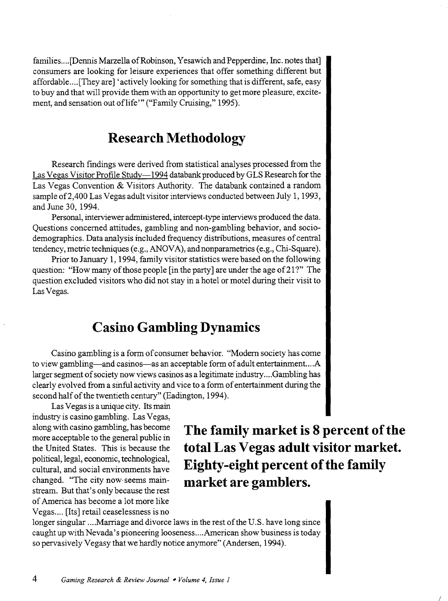families .... [Dennis Marzella of Robinson, Yesawich and Pepperdine, Inc. notes that] consumers are looking for leisure experiences that offer something different but affordable.... [They are] 'actively looking for something that is different, safe, easy to buy and that will provide them with an opportunity to get more pleasure, excitement, and sensation out of life"' ("Family Cruising," 1995).

# **Research Methodology**

Research findings were derived from statistical analyses processed from the Las Vegas Visitor Profile Study-1994 databank produced by GLS Research for the Las Vegas Convention & Visitors Authority. The databank contained a random sample of2,400 Las Vegas adult visitor interviews conducted between July 1, 1993, and June 30, 1994.

Personal, interviewer administered, intercept-type interviews produced the data. Questions concerned attitudes, gambling and non-gambling behavior, and sociodemographics. Data analysis included frequency distributions, measures of central tendency, metric techniques (e.g., ANOVA), and nonparametrics (e.g., Chi-Square).

Prior to January 1, 1994, family visitor statistics were based on the following question: "How many of those people [in the party] are under the age of 21?" The question excluded visitors who did not stay in a hotel or motel during their visit to Las Vegas.

# **Casino Gambling Dynamics**

Casino gambling is a form of consumer behavior. "Modem society has come to view gambling—and casinos—as an acceptable form of adult entertainment....A larger segment of society now views casinos as a legitimate industry .... Gambling has clearly evolved from a sinful activity and vice to a form of entertainment during the second half of the twentieth century" (Eadington, 1994).

Las Vegas is a unique city. Its main industry is casino gambling. Las Vegas, along with casino gambling, has become more acceptable to the general public in the United States. This is because the political, legal, economic, technological, cultural, and social environments have changed. "The city now· seems mainstream. But that's only because the rest of America has become a lot more like Vegas.... [Its] retail ceaselessness is no

**The family market is 8 percent of the total Las Vegas adult visitor market. Eighty-eight percent of the family market are gamblers.** 

I

longer singular .... Marriage and divorce laws in the rest of the U.S. have long since caught up with Nevada's pioneering looseness .... American show business is today so pervasively Vegasy that we hardly notice anymore" (Andersen, 1994).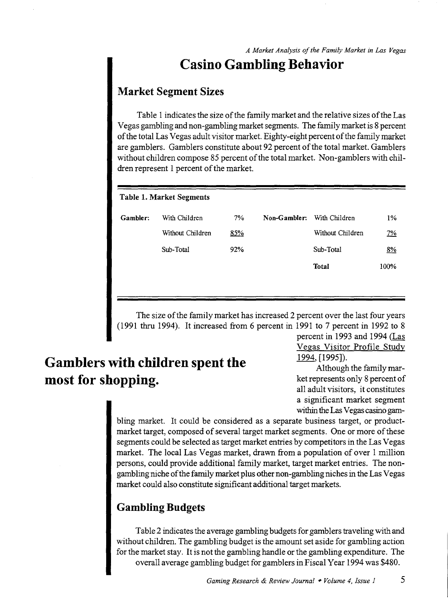# **Casino Gambling Behavior**

### **Market Segment Sizes**

Table 1 indicates the size of the family market and the relative sizes of the Las Vegas gambling and non-gambling market segments. The family market is 8 percent of the total Las Vegas adult visitor market. Eighty-eight percent of the family market are gamblers. Gamblers constitute about 92 percent of the total market. Gamblers without children compose 85 percent of the total market. Non-gamblers with children represent 1 percent of the market.

#### Table 1. Market Segments

| Gambler: | With Children    | 7%  | Non-Gambler: | With Children    | 1%        |
|----------|------------------|-----|--------------|------------------|-----------|
|          | Without Children | 85% |              | Without Children | <u>7%</u> |
|          | Sub-Total        | 92% |              | Sub-Total        | 8%        |
|          |                  |     |              | Total            | 100%      |
|          |                  |     |              |                  |           |

The size of the family market has increased 2 percent over the last four years (1991 thru 1994). It increased from 6 percent in 1991 to 7 percent in 1992 to 8

# **Gamblers with children spent the most for shopping.**

percent in 1993 and 1994 (Las Vegas Visitor Profile Study 1994, [1995]).

Although the family market represents only 8 percent of all adult visitors, it constitutes a significant market segment within the Las Vegas casino gam-

bling market. It could be considered as a separate business target, or productmarket target, composed of several target market segments. One or more of these segments could be selected as target market entries by competitors in the Las Vegas market. The local Las Vegas market, drawn from a population of over 1 million persons, could provide additional family market, target market entries. The nongambling niche of the family market plus other non-gambling niches in the Las Vegas market could also constitute significant additional target markets.

### **Gambling Budgets**

Table 2 indicates the average gambling budgets for gamblers traveling with and without children. The gambling budget is the amount set aside for gambling action for the market stay. It is not the gambling handle or the gambling expenditure. The overall average gambling budget for gamblers in Fiscal Year 1994 was \$480.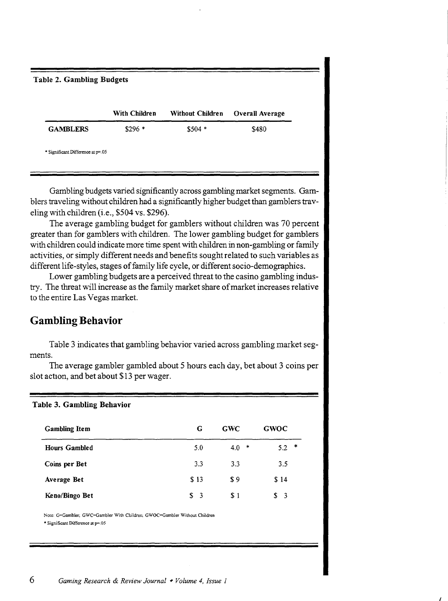| <b>Table 2. Gambling Budgets</b> |               |                         |                        |
|----------------------------------|---------------|-------------------------|------------------------|
|                                  | With Children | <b>Without Children</b> | <b>Overall Average</b> |
| <b>GAMBLERS</b>                  | $$296*$       | $$504*$                 | \$480                  |

Gambling budgets varied significantly across gambling market segments. Gamblers traveling without children had a significantly higher budget than gamblers traveling with children (i.e., \$504 vs. \$296).

The average gambling budget for gamblers without children was 70 percent greater than for gamblers with children. The lower gambling budget for gamblers with children could indicate more time spent with children in non-gambling or family activities, or simply different needs and benefits sought related to such variables as different life-styles, stages of family life cycle, or different socio-demographics.

Lower gambling budgets are a perceived threat to the casino gambling industry. The threat will increase as the family market share of market increases relative to the entire Las Vegas market.

### **Gambling Behavior**

Table 3. Gambling Behavior

Table 3 indicates that gambling behavior varied across gambling market segments.

The average gambler gambled about 5 hours each day, bet about 3 coins per slot action, and bet about \$13 per wager.

| <b>Gambling Item</b> | G        | <b>GWC</b> | <b>GWOC</b>   |
|----------------------|----------|------------|---------------|
| <b>Hours Gambled</b> | 5.0      | $4.0*$     | $5.2$ *       |
| Coins per Bet        | 3.3      | 3.3        | 3.5           |
| Average Bet          | \$13     | \$9        | \$14          |
| Keno/Bingo Bet       | S.<br>-3 | \$1        | $\frac{1}{2}$ |

Note: G=Gambler; GWC=Gambler With Children; GWOC=Gambler Without Children \* Significant Difference at p=.05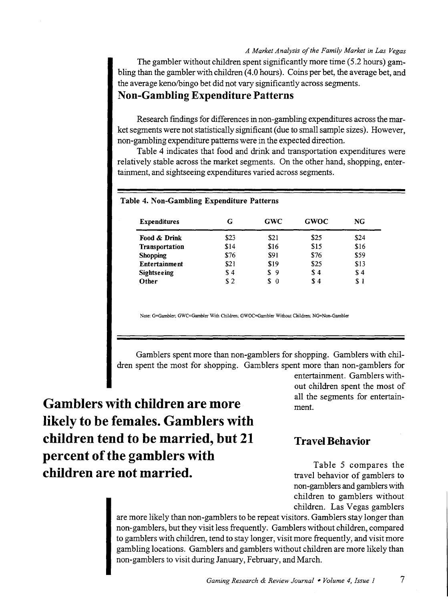The gambler without children spent significantly more time (5.2 hours) gambling than the gambler with children (4.0 hours). Coins per bet, the average bet, and the average keno/bingo bet did not vary significantly across segments.

### **Non-Gambling Expenditure Patterns**

Research fmdings for differences in non-gambling expenditures across the market segments were not statistically significant (due to small sample sizes). However, non-gambling expenditure patterns were in the expected direction.

Table 4 indicates that food and drink and transportation expenditures were relatively stable across the market segments. On the other hand, shopping, entertainment, and sightseeing expenditures varied across segments.

| <b>Expenditures</b>  | G    | GWC      | <b>GWOC</b> | NG.  |  |
|----------------------|------|----------|-------------|------|--|
| Food & Drink         | \$23 | \$21     | \$25        | \$24 |  |
| Transportation       | \$14 | \$16     | \$15        | \$16 |  |
| <b>Shopping</b>      | \$76 | \$91     | \$76        | \$59 |  |
| <b>Entertainment</b> | \$21 | \$19     | \$25        | \$13 |  |
| Sightseeing          | \$4  | \$9      | \$4         | \$4  |  |
| Other                | \$2  | S<br>- 0 | \$4         | \$1  |  |

#### Table 4. Non-Gambling Expenditure Patterns

Note: G=Gambler; GWC=Gambler With Children: GWOC=Gambler Without Children; NG=Non-Gambler

Gamblers spent more than non-gamblers for shopping. Gamblers with children spent the most for shopping. Gamblers spent more than non-gamblers for

**Gamblers with children are more likely to be females. Gamblers with children tend to be married, but 21 percent of the gamblers with children are not married.** 

entertainment. Gamblers without children spent the most of all the segments for entertainment.

### **Travel Behavior**

Table 5 compares the travel behavior of gamblers to non-gamblers and gamblers with children to gamblers without children. Las Vegas gamblers

are more likely than non-gamblers to be repeat visitors. Gamblers stay longer than non-gamblers, but they visit less frequently. Gamblers without children, compared to gamblers with children, tend to stay longer, visit more frequently, and visit more gambling locations. Gamblers and gamblers without children are more likely than non-gamblers to visit during January, February, and March.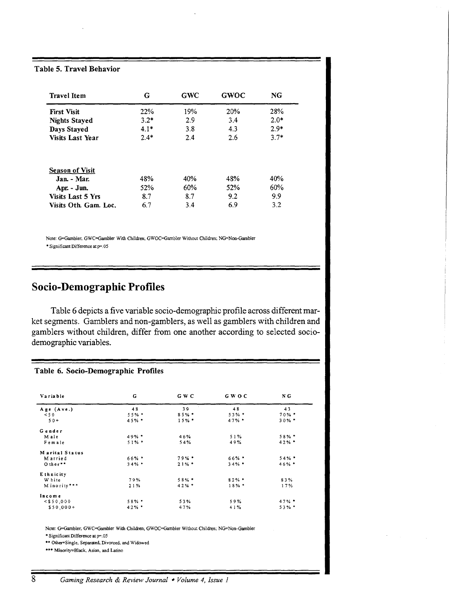Table 5. Travel Behavior

| <b>Travel Item</b>       | G      | <b>GWC</b> | <b>GWOC</b> | NG     |
|--------------------------|--------|------------|-------------|--------|
| <b>First Visit</b>       | 22%    | 19%        | 20%         | 28%    |
| <b>Nights Stayed</b>     | $3.2*$ | 2.9        | 3.4         | $2.0*$ |
| Days Stayed              | $4.1*$ | 3.8        | 4.3         | $2.9*$ |
| <b>Visits Last Year</b>  | $2.4*$ | 2.4        | 2.6         | $3.7*$ |
| <b>Season of Visit</b>   |        |            |             |        |
| Jan. - Mar.              | 48%    | 40%        | 48%         | 40%    |
| Apr. - Jun.              | 52%    | 60%        | 52%         | 60%    |
| <b>Visits Last 5 Yrs</b> | 8.7    | 8.7        | 9.2         | 9.9    |
| Visits Oth. Gam. Loc.    | 6.7    | 3.4        | 6.9         | 3.2    |

Note: G=Gambler, GWC=Gambler With Children; GWOC=Gambler Without Children; NG=Non-Gambler \*Significant Difference at p=.05

### Socio-Demographic Profiles

Table 6 depicts a five variable socio-demographic profile across different market segments. Gamblers and non-gamblers, as well as gamblers with children and gamblers without children, differ from one another according to selected sociodemographic variables.

#### Table 6. Socio-Demographic Profiles

| Variable       | G        | G W C   | GWOC     | N G      |
|----------------|----------|---------|----------|----------|
| Age (Ave.)     | 48       | 39      | 48       | 43       |
| < 50           | $55%$ *  | $85%$ * | $53\%$ * | $70%$ *  |
| $50+$          | $45%$ *  | $15%$ * | $47%$ *  | $30\%$ * |
| Gender         |          |         |          |          |
| Male           | $49\%$ * | 46%     | 51%      | $58%$ *  |
| Female         | $51\%$ * | 54%     | 49%      | $42%$ *  |
| Marital Status |          |         |          |          |
| M arried       | $66\%$ * | $79%$ * | $66\%$ * | 54%      |
| O ther**       | $34\%$ * | $21%$ * | $34\%$ * | $46\%$ * |
| E thnicity     |          |         |          |          |
| W hite         | 79%      | 58% *   | $82\%$ * | 83%      |
| Minority***    | 21%      | 42%     | 18%      | 17%      |
| Income         |          |         |          |          |
| $<$ \$50,000   | 58% *    | 53%     | 59%      | $47\%$ * |
| $$50,000+$     | 42%      | 47%     | 41%      | $53\%$ * |

Note: G=Gambler, GWC=Gambler With Children; GWOC=Gambler Without Children; NG=Non-Gambler

• Significant Difference at p=.OS

\*\* Other=Single, Separated, Divorced, and Widowed

\*\*\* Minority=Black, Asian, and Latino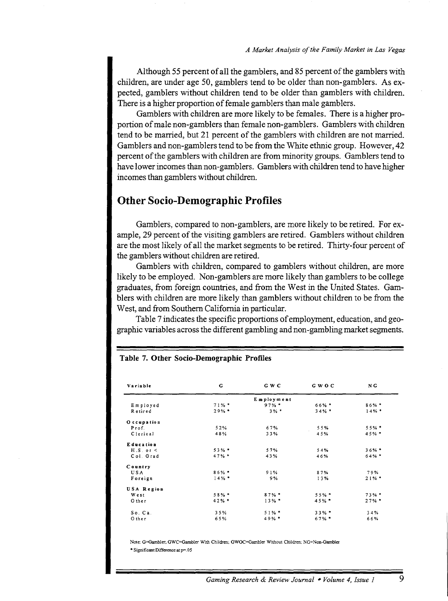Although 55 percent of all the gamblers, and 85 percent of the gamblers with children, are under age 50, gamblers tend to be older than non-gamblers. As expected, gamblers without children tend to be older than gamblers with children. There is a higher proportion of female gamblers than male gamblers.

Gamblers with children are more likely to be females. There is a higher proportion of male non-gamblers than female non-gamblers. Gamblers with children tend to be married, but 21 percent of the gamblers with children are not married. Gamblers and non-gamblers tend to be from the White ethnic group. However, 42 percent of the gamblers with children are from minority groups. Gamblers tend to have lower incomes than non-gamblers. Gamblers with children tend to have higher incomes than gamblers without children.

### Other Socio-Demographic Profiles

Gamblers, compared to non-gamblers, are more likely to be retired. For example, 29 percent of the visiting gamblers are retired. Gamblers without children are the most likely of all the market segments to be retired. Thirty-four percent of the gamblers without children are retired.

Gamblers with children, compared to gamblers without children, are more likely to be employed. Non-gamblers are more likely than gamblers to be college graduates, from foreign countries, and from the West in the United States. Gamblers with children are more likely than gamblers without children to be from the West, and from Southern California in particular.

Table 7 indicates the specific proportions of employment, education, and geographic variables across the different gambling and non-gambling market segments.

| Variable         | G        | G W C      | GWOC     | N G      |
|------------------|----------|------------|----------|----------|
|                  |          | Employment |          |          |
| Employed         | 71%      | $97%$ *    | 66% *    | $86\%$ * |
| Retired          | $29%$ *  | $3%$ *     | $34\% *$ | $14\%$ * |
| O ccupation      |          |            |          |          |
| Prof.            | 52%      | 67%        | 55%      | 55% *    |
| Cierical         | 48%      | 33%        | 45%      | $45%$ *  |
| Education        |          |            |          |          |
| $H.S.$ or $\leq$ | $53%$ *  | 57%        | 54%      | $36%$ *  |
| Col. Grad        | 47%      | 43%        | 46%      | $64%$ *  |
| Country          |          |            |          |          |
| USA              | $86\%$ + | 91%        | 87%      | 79%      |
| Foreign          | $14%$ *  | 9%         | 13%      | 21%      |
| USA Region       |          |            |          |          |
| West             | $58%$ *  | $87\%$ *   | $55%$ *  | $73%$ *  |
| Other            | $42\%$ * | $13%$ *    | $45%$ *  | 27%      |
| So. Ca.          | 35%      | $51\%$ *   | 33%*     | 34%      |
| Other            | 65%      | 49% *      | 67% *    | 66%      |

#### Table 7. Other Socio-Demographic Profiles

Note: G=Gambler, GWC=Gambler With Children; GWOC=Gambler Without Children; NG=Non-Gambler \* Significant Difference at p=.05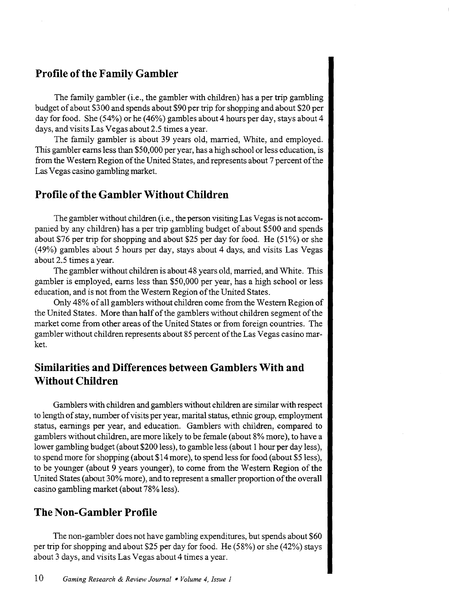### **Profile of the Family Gambler**

The family gambler (i.e., the gambler with children) has a per trip gambling budget of about \$300 and spends about \$90 per trip for shopping and about \$20 per day for food. She (54%) or he (46%) gambles about 4 hours per day, stays about 4 days, and visits Las Vegas about 2.5 times a year.

The family gambler is about 39 years old, married, White, and employed. This gambler earns less than \$50,000 per year, has a high school or less education, is from the Western Region of the United States, and represents about 7 percent of the Las Vegas casino gambling market.

### **Profile of the Gambler Without Children**

The gambler without children (i.e., the person visiting Las Vegas is not accompanied by any children) has a per trip gambling budget of about \$500 and spends about \$76 per trip for shopping and about \$25 per day for food. He (51%) or she (49%) gambles about 5 hours per day, stays about 4 days, and visits Las Vegas about 2.5 times a year.

The gambler without children is about 48 years old, married, and White. This gambler is employed, earns less than \$50,000 per year, has a high school or less education, and is not from the Western Region of the United States.

Only 48% of all gamblers without children come from the Western Region of the United States. More than half of the gamblers without children segment of the market come from other areas of the United States or from foreign countries. The gambler without children represents about 85 percent of the Las Vegas casino market.

### **Similarities and Differences between Gamblers With and Without Children**

Gamblers with children and gamblers without children are similar with respect to length of stay, number of visits per year, marital status, ethnic group, employment status, earnings per year, and education. Gamblers with children, compared to gamblers without children, are more likely to be female (about 8% more), to have a lower gambling budget (about \$200 less), to gamble less (about 1 hour per day less), to spend more for shopping (about \$14 more), to spend less for food (about \$5 less), to be younger (about 9 years younger), to come from the Western Region of the United States (about 30% more), and to represent a smaller proportion of the overall casino gambling market (about 78% less).

### **The Non-Gambler Profile**

The non-gambler does not have gambling expenditures, but spends about \$60 per trip for shopping and about \$25 per day for food. He (58%) or she (42%) stays about 3 days, and visits Las Vegas about 4 times a year.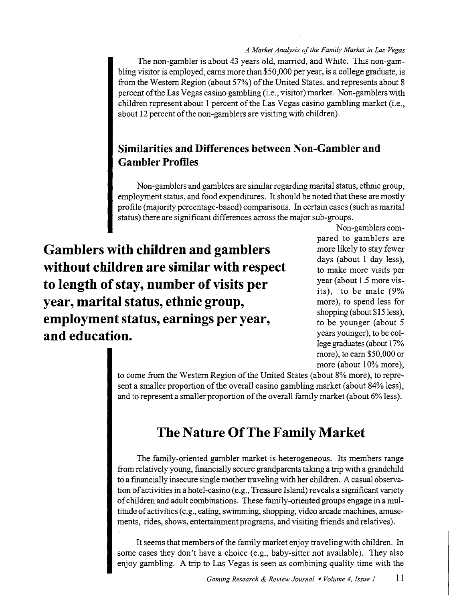The non-gambler is about 43 years old, married, and White. This non-gambling visitor is employed, earns more than \$50,000 per year, is a college graduate, is from the Western Region (about 57%) of the United States, and represents about 8 percent of the Las Vegas casino gambling (i.e., visitor) market. Non-gamblers with children represent about 1 percent of the Las Vegas casino gambling market (i.e., about 12 percent of the non-gamblers are visiting with children).

### **Similarities and Differences between Non-Gambler and Gambler Profiles**

Non-gamblers and gamblers are similar regarding marital status, ethnic group, employment status, and food expenditures. It should be noted that these are mostly profile (majority percentage-based) comparisons. In certain cases (such as marital status) there are significant differences across the major sub-groups.

**Gamblers with children and gamblers without children are similar with respect to length of stay, number of visits per year, marital status, ethnic group, employment status, earnings per year, and education.** 

Non-gamblers compared to gamblers are more likely to stay fewer days (about 1 day less), to make more visits per year (about 1.5 more visits), to be male (9% more), to spend less for shopping (about \$15 less), to be younger (about 5 years younger), to be college graduates (about 17% more), to earn \$50,000 or more (about 10% more),

to come from the Western Region of the United States (about 8% more), to represent a smaller proportion of the overall casino gambling market (about 84% less), and to represent a smaller proportion of the overall family market (about 6% less).

# **The Nature Of The Family Market**

The family-oriented gambler market is heterogeneous. Its members range from relatively young, financially secure grandparents taking a trip with a grandchild to a fmancially insecure single mother traveling with her children. A casual observation of activities in a hotel-casino (e.g., Treasure Island) reveals a significant variety of children and adult combinations. These family-oriented groups engage in a multitude of activities (e.g., eating, swimming, shopping, video arcade machines, amusements, rides, shows, entertainment programs, and visiting friends and relatives).

It seems that members of the family market enjoy traveling with children. In some cases they don't have a choice (e.g., baby-sitter not available). They also enjoy gambling. A trip to Las Vegas is seen as combining quality time with the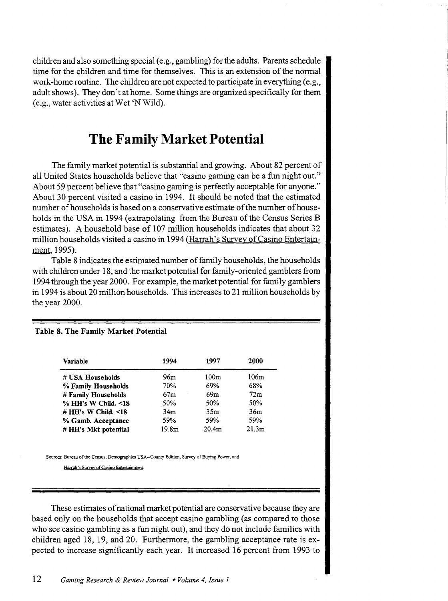children and also something special (e.g., gambling) for the adults. Parents schedule time for the children and time for themselves. This is an extension of the normal work-home routine. The children are not expected to participate in everything (e.g., adult shows). They don't at home. Some things are organized specifically for them (e.g., water activities at Wet 'N Wild).

# **The Family Market Potential**

The family market potential is substantial and growing. About 82 percent of all United States households believe that "casino gaming can be a fun night out." About 59 percent believe that "casino gaming is perfectly acceptable for anyone." About 30 percent visited a casino in 1994. It should be noted that the estimated number of households is based on a conservative estimate of the number of households in the USA in 1994 (extrapolating from the Bureau of the Census Series B estimates). A household base of 107 million households indicates that about 32 million households visited a casino in 1994 (Harrah's Survey of Casino Entertainment, 1995).

Table 8 indicates the estimated number of family households, the households with children under 18, and the market potential for family -oriented gamblers from 1994 through the year 2000. For example, the market potential for family gamblers in 1994 is about 20 million households. This increases to 21 million households by the year 2000.

| Variable             | 1994              | 1997              | 2000              |
|----------------------|-------------------|-------------------|-------------------|
| # USA Households     | 96m               | 100m              | 106m              |
| % Family Households  | 70%               | 69%               | 68%               |
| # Family Households  | 67m               | 69m               | 72m               |
| % HH's W Child. <18  | 50%               | 50%               | 50%               |
| $#HH's$ W Child. <18 | 34 <sub>m</sub>   | 35m               | 36m               |
| % Gamb. Acceptance   | 59%               | 59%               | 59%               |
| # HH's Mkt potential | 19.8 <sub>m</sub> | 20.4 <sub>m</sub> | 21.3 <sub>m</sub> |

#### Table 8. The Family Market Potential

Sources: Bureau of the Census, Demographics USA-County Edition, Survey of Buying Power, and

Harrah's Survey of Casino Entertainment.

These estimates of national market potential are conservative because they are based only on the households that accept casino gambling (as compared to those who see casino gambling as a fun night out), and they do not include families with children aged 18, 19, and 20. Furthermore, the gambling acceptance rate is expected to increase significantly each year. It increased 16 percent from 1993 to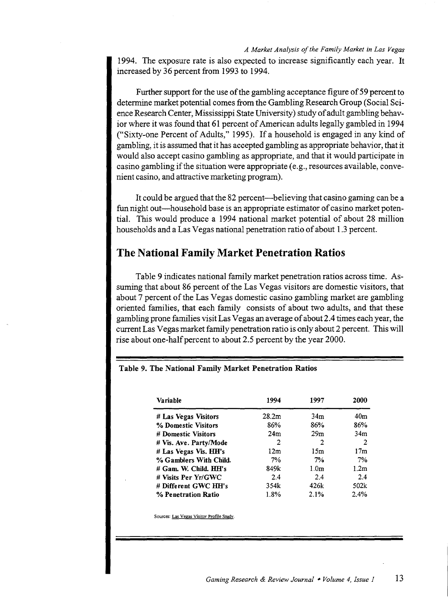1994. The exposure rate is also expected to increase significantly each year. It increased by 36 percent from 1993 to 1994.

Further support for the use of the gambling acceptance figure of 59 percent to determine market potential comes from the Gambling Research Group (Social Science Research Center, Mississippi State University) study of adult gambling behavior where it was found that 61 percent of American adults legally gambled in 1994 ("Sixty-one Percent of Adults," 1995). If a household is engaged in any kind of gambling, it is assumed that it has accepted gambling as appropriate behavior, that it would also accept casino gambling as appropriate, and that it would participate in casino gambling if the situation were appropriate (e.g., resources available, convenient casino, and attractive marketing program).

It could be argued that the 82 percent—believing that casino gaming can be a fun night out-household base is an appropriate estimator of casino market potential. This would produce a 1994 national market potential of about 28 million households and a Las Vegas national penetration ratio of about 1.3 percent.

### The National Family Market Penetration Ratios

Table 9 indicates national family market penetration ratios across time. Assuming that about 86 percent of the Las Vegas visitors are domestic visitors, that about 7 percent of the Las Vegas domestic casino gambling market are gambling oriented families, that each family consists of about two adults, and that these gambling prone families visit Las Vegas an average of about 2.4 times each year, the current Las Vegas market family penetration ratio is only about 2 percent. This will rise about one-half percent to about 2.5 percent by the year 2000.

#### Variable 1994 1997 2000 #Las Vegas Visitors 28.2m 34m 40rn % Domestic Visitors 86% 86% 86% 86% # Domestic Visitors 24m 29m 34m # Vis. Ave. Party/Mode 2 2 2 2 # Las Vegas Vis. HH's 12m 15m 17m % Gamblers With Child. 7% 7% 7% 7% # Gam. W. Child. HH's 849k 1.0m 1.2m # VISits Per Yr/GWC 2.4 2.4 2.4 #Different GWC HH's 354k 426k 502k % Penetration Ratio 1.8% 2.1% 2.4%

#### Table 9. The National Family Market Penetration Ratios

Sources: Las Vegas Visitor Profile Studv.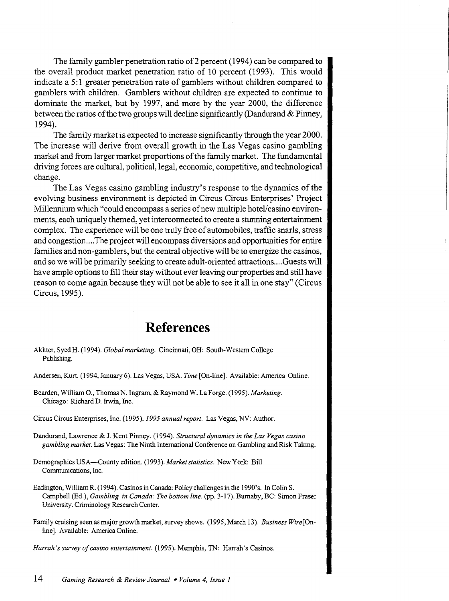The family gambler penetration ratio of 2 percent (1994) can be compared to the overall product market penetration ratio of 10 percent (1993). This would indicate a 5: 1 greater penetration rate of gamblers without children compared to gamblers with children. Gamblers without children are expected to continue to dominate the market, but by 1997, and more by the year 2000, the difference between the ratios of the two groups will decline significantly (Dandurand & Pinney, 1994).

The family market is expected to increase significantly through the year 2000. The increase will derive from overall growth in the Las Vegas casino gambling market and from larger market proportions of the family market. The fundamental driving forces are cultural, political, legal, economic, competitive, and technological change.

The Las Vegas casino gambling industry's response to the dynamics of the evolving business environment is depicted in Circus Circus Enterprises' Project Millennium which "could encompass a series of new multiple hotel/casino environments, each uniquely themed, yet interconnected to create a stunning entertainment complex. The experience will be one truly free of automobiles, traffic snarls, stress and congestion .... The project will encompass diversions and opportunities for entire families and non-gamblers, but the central objective will be to energize the casinos, and so we will be primarily seeking to create adult-oriented attractions .... Guests will have ample options to fill their stay without ever leaving our properties and still have reason to come again because they will not be able to see it all in one stay" (Circus Circus, 1995).

# **References**

- Akhter, Syed H. ( 1994 ). *Global marketing.* Cincinnati, OH: South-Western College Publishing.
- Andersen, Kurt. (1994, January 6). Las Vegas, USA. *Time* [On-line]. Available: America Online.
- Bearden, William 0., Thomas N. Ingram, & Raymond W. La Forge. (1995). *Marketing.*  Chicago: Richard D. Irwin, Inc.
- Circus Circus Enterprises, Inc. *(1995).1995 annual report.* Las Vegas, NV: Author.
- Dandurand, Lawrence & J. Kent Pinney. (1994). *Structural dynamics in the Las Vegas casino gambling market.* Las Vegas: The Ninth International Conference on Gambling and Risk Taking.
- Demographics USA-County edition. ( 1993). *Market statistics.* New York: Bill Communications, Inc.
- Eadington, William R. (1994). Casinos in Canada: Policy challenges in the 1990's. In Colin S. Campbell (Ed.), *Gambling* in *Canada: The bottom line.* (pp. 3-17). Burnaby, BC: Simon Fraser University. Criminology Research Center.
- Family cruising seen as major growth market, survey shows. (1995, March 13). *Business Wire[* Online]. Available: America Online.

*Harrah's survey of casino entertainment.* (1995). Memphis, TN: Harrah's Casinos.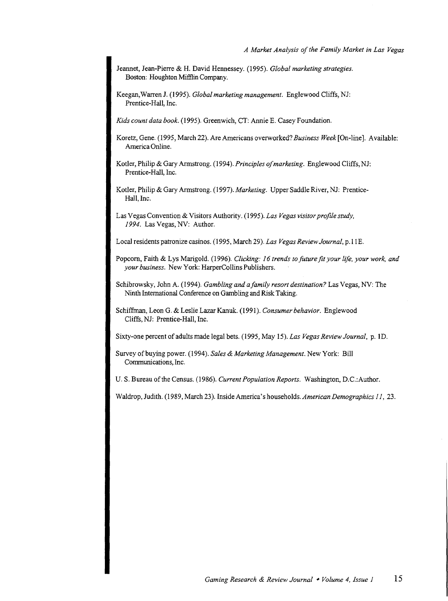- Jeannet, Jean-Pierre & H. David Hennessey. (1995). *Global marketing strategies.*  Boston: Houghton Mifflin Company.
- Keegan, Warren J. (1995). *Global marketing management.* Englewood Cliffs, NJ: Prentice-Hall, Inc.

*Kids count data book.* (1995). Greenwich, CT: Annie E. Casey Foundation.

- Koretz, Gene. ( 1995, March 22). Are Americans overworked? *Business Week* [On-line]. Available: America Online.
- Kotler, Philip & Gary Armstrong. (1994). *Principles of marketing.* Englewood Cliffs, NJ: Prentice-Hall, Inc.
- Kotler, Philip & Gary Armstrong. (1997). *Marketing.* Upper Saddle River, NJ: Prentice-Hall, Inc.
- Las Vegas Convention & Visitors Authority. (1995). *Las Vegas visitor profile study, I994.* Las Vegas, NV: Author.
- Local residents patronize casinos. (1995, March 29). *Las Vegas Review Journal,* p.11E.
- Popcorn, Faith & Lys Marigold. (1996). *Clicking: I6 trends to future fit your life, your work, and your business.* New York: HarperCollins Publishers.
- Schibrowsky, John A. ( 1994). *Gambling and a family resort destination?* Las Vegas, NV: The Ninth International Conference on Gambling and Risk Taking.
- Schiffman, Leon G. & Leslie Lazar Kanuk. (1991). *Consumer behavior.* Englewood Cliffs, NJ: Prentice-Hall, Inc.

Sixty-one percent of adults made legal bets. (1995, May 15). *Las Vegas Review Journal,* p. ID.

Survey of buying power. (1994). *Sales* & *Marketing Management.* New York: Bill Communications, Inc.

U.S. Bureau of the Census. (1986). *Current Population Reports.* Washington, D.C.:Author.

Waldrop, Judith. (1989, March 23). Inside America's households. *American Demographics II,* 23.